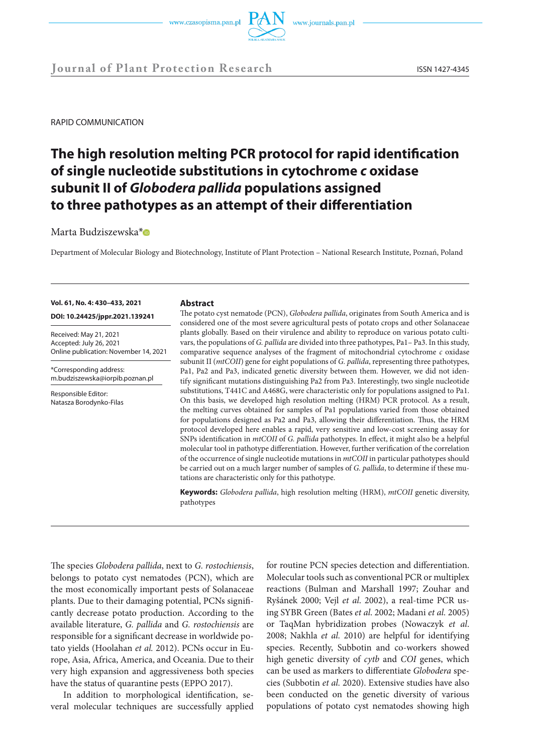



## RAPID COMMUNICATION

# **The high resolution melting PCR protocol for rapid identification of single nucleotide substitutions in cytochrome** *c* **oxidase subunit II of** *Globodera pallida* **populations assigned to three pathotypes as an attempt of their differentiation**

# Marta Budziszewska\*

Department of Molecular Biology and Biotechnology, Institute of Plant Protection – National Research Institute, Poznań, Poland

#### **Vol. 61, No. 4: 430–433, 2021**

**DOI: 10.24425/jppr.2021.139241**

Received: May 21, 2021 Accepted: July 26, 2021 Online publication: November 14, 2021

\*Corresponding address: m.budziszewska@iorpib.poznan.pl

Responsible Editor: Natasza Borodynko-Filas

### **Abstract**

The potato cyst nematode (PCN), *Globodera pallida*, originates from South America and is considered one of the most severe agricultural pests of potato crops and other Solanaceae plants globally. Based on their virulence and ability to reproduce on various potato cultivars, the populations of *G. pallida* are divided into three pathotypes, Pa1– Pa3. In this study, comparative sequence analyses of the fragment of mitochondrial cytochrome *c* oxidase subunit II (*mtCOII*) gene for eight populations of *G. pallida*, representing three pathotypes, Pa1, Pa2 and Pa3, indicated genetic diversity between them. However, we did not identify significant mutations distinguishing Pa2 from Pa3. Interestingly, two single nucleotide substitutions, T441C and A468G, were characteristic only for populations assigned to Pa1. On this basis, we developed high resolution melting (HRM) PCR protocol. As a result, the melting curves obtained for samples of Pa1 populations varied from those obtained for populations designed as Pa2 and Pa3, allowing their differentiation. Thus, the HRM protocol developed here enables a rapid, very sensitive and low-cost screening assay for SNPs identification in *mtCOII* of *G. pallida* pathotypes. In effect, it might also be a helpful molecular tool in pathotype differentiation. However, further verification of the correlation of the occurrence of single nucleotide mutations in *mtCOII* in particular pathotypes should be carried out on a much larger number of samples of *G. pallida*, to determine if these mutations are characteristic only for this pathotype.

**Keywords:** *Globodera pallida*, high resolution melting (HRM), *mtCOII* genetic diversity, pathotypes

The species *Globodera pallida*, next to *G. rostochiensis*, belongs to potato cyst nematodes (PCN), which are the most economically important pests of Solanaceae plants. Due to their damaging potential, PCNs significantly decrease potato production. According to the available literature, *G. pallida* and *G. rostochiensis* are responsible for a significant decrease in worldwide potato yields (Hoolahan *et al.* 2012). PCNs occur in Europe, Asia, Africa, America, and Oceania. Due to their very high expansion and aggressiveness both species have the status of quarantine pests (EPPO 2017).

In addition to morphological identification, several molecular techniques are successfully applied

for routine PCN species detection and differentiation. Molecular tools such as conventional PCR or multiplex reactions (Bulman and Marshall 1997; Zouhar and Ryšánek 2000; Vejl *et al*. 2002), a real-time PCR using SYBR Green (Bates *et al*. 2002; Madani *et al.* 2005) or TaqMan hybridization probes (Nowaczyk *et al*. 2008; Nakhla *et al.* 2010) are helpful for identifying species. Recently, Subbotin and co-workers showed high genetic diversity of *cytb* and *COI* genes, which can be used as markers to differentiate *Globodera* species (Subbotin *et al.* 2020). Extensive studies have also been conducted on the genetic diversity of various populations of potato cyst nematodes showing high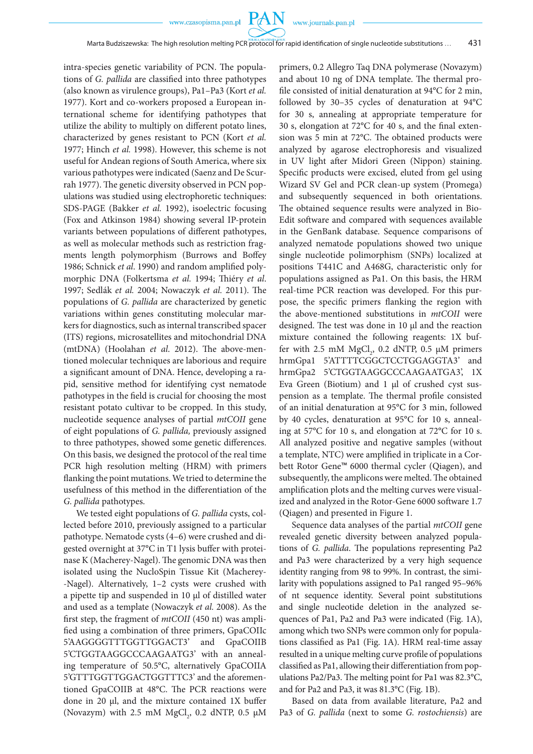PAN www.czasopisma.pan.pl

intra-species genetic variability of PCN. The populations of *G. pallida* are classified into three pathotypes (also known as virulence groups), Pa1–Pa3 (Kort *et al.* 1977). Kort and co-workers proposed a European international scheme for identifying pathotypes that utilize the ability to multiply on different potato lines, characterized by genes resistant to PCN (Kort *et al.* 1977; Hinch *et al.* 1998). However, this scheme is not useful for Andean regions of South America, where six various pathotypes were indicated (Saenz and De Scurrah 1977). The genetic diversity observed in PCN populations was studied using electrophoretic techniques: SDS-PAGE (Bakker *et al.* 1992), isoelectric focusing (Fox and Atkinson 1984) showing several IP-protein variants between populations of different pathotypes, as well as molecular methods such as restriction fragments length polymorphism (Burrows and Boffey 1986; Schnick *et al*. 1990) and random amplified polymorphic DNA (Folkertsma *et al.* 1994; Thiéry *et al*. 1997; Sedlák *et al.* 2004; Nowaczyk *et al.* 2011). The populations of *G. pallida* are characterized by genetic variations within genes constituting molecular markers for diagnostics, such as internal transcribed spacer (ITS) regions, microsatellites and mitochondrial DNA (mtDNA) (Hoolahan *et al*. 2012). The above-mentioned molecular techniques are laborious and require a significant amount of DNA. Hence, developing a rapid, sensitive method for identifying cyst nematode pathotypes in the field is crucial for choosing the most resistant potato cultivar to be cropped. In this study, nucleotide sequence analyses of partial *mtCOII* gene of eight populations of *G. pallida,* previously assigned to three pathotypes, showed some genetic differences. On this basis, we designed the protocol of the real time PCR high resolution melting (HRM) with primers flanking the point mutations. We tried to determine the usefulness of this method in the differentiation of the *G. pallida* pathotypes.

We tested eight populations of *G. pallida* cysts, collected before 2010, previously assigned to a particular pathotype. Nematode cysts (4–6) were crushed and digested overnight at 37°C in T1 lysis buffer with proteinase K (Macherey-Nagel). The genomic DNA was then isolated using the NucloSpin Tissue Kit (Macherey- -Nagel). Alternatively, 1–2 cysts were crushed with a pipette tip and suspended in 10 μl of distilled water and used as a template (Nowaczyk *et al.* 2008). As the first step, the fragment of *mtCOII* (450 nt) was amplified using a combination of three primers, GpaCOIIc 5'AAGGGGTTTGGTTGGACT3' and GpaCOIIB 5'CTGGTAAGGCCCAAGAATG3' with an annealing temperature of 50.5°C, alternatively GpaCOIIA 5'GTTTGGTTGGACTGGTTTC3' and the aforementioned GpaCOIIB at 48°C. The PCR reactions were done in 20  $\mu$ , and the mixture contained 1X buffer (Novazym) with 2.5 mM  $MgCl_2$ , 0.2 dNTP, 0.5  $\mu$ M primers, 0.2 Allegro Taq DNA polymerase (Novazym) and about 10 ng of DNA template. The thermal profile consisted of initial denaturation at 94°C for 2 min, followed by 30–35 cycles of denaturation at 94°C for 30 s, annealing at appropriate temperature for 30 s, elongation at 72°C for 40 s, and the final extension was 5 min at 72°C. The obtained products were analyzed by agarose electrophoresis and visualized in UV light after Midori Green (Nippon) staining. Specific products were excised, eluted from gel using Wizard SV Gel and PCR clean-up system (Promega) and subsequently sequenced in both orientations. The obtained sequence results were analyzed in Bio-Edit software and compared with sequences available in the GenBank database. Sequence comparisons of analyzed nematode populations showed two unique single nucleotide polimorphism (SNPs) localized at positions T441C and A468G, characteristic only for populations assigned as Pa1. On this basis, the HRM real-time PCR reaction was developed. For this purpose, the specific primers flanking the region with the above-mentioned substitutions in *mtCOII* were designed. The test was done in 10 µl and the reaction mixture contained the following reagents: 1X buffer with 2.5 mM  $MgCl<sub>2</sub>$ , 0.2 dNTP, 0.5 µM primers hrmGpa1 5'ATTTTCGGCTCCTGGAGGTA3' and hrmGpa2 5'CTGGTAAGGCCCAAGAATGA3', 1X Eva Green (Biotium) and 1 μl of crushed cyst suspension as a template. The thermal profile consisted of an initial denaturation at 95°C for 3 min, followed by 40 cycles, denaturation at 95°C for 10 s, annealing at 57°C for 10 s, and elongation at 72°C for 10 s. All analyzed positive and negative samples (without a template, NTC) were amplified in triplicate in a Corbett Rotor Gene™ 6000 thermal cycler (Qiagen), and subsequently, the amplicons were melted. The obtained amplification plots and the melting curves were visualized and analyzed in the Rotor-Gene 6000 software 1.7 (Qiagen) and presented in Figure 1.

Sequence data analyses of the partial *mtCOII* gene revealed genetic diversity between analyzed populations of *G. pallida*. The populations representing Pa2 and Pa3 were characterized by a very high sequence identity ranging from 98 to 99%. In contrast, the similarity with populations assigned to Pa1 ranged 95–96% of nt sequence identity. Several point substitutions and single nucleotide deletion in the analyzed sequences of Pa1, Pa2 and Pa3 were indicated (Fig. 1A), among which two SNPs were common only for populations classified as Pa1 (Fig. 1A). HRM real-time assay resulted in a unique melting curve profile of populations classified as Pa1, allowing their differentiation from populations Pa2/Pa3. The melting point for Pa1 was 82.3°C, and for Pa2 and Pa3, it was 81.3°C (Fig. 1B).

Based on data from available literature, Pa2 and Pa3 of *G. pallida* (next to some *G. rostochiensis*) are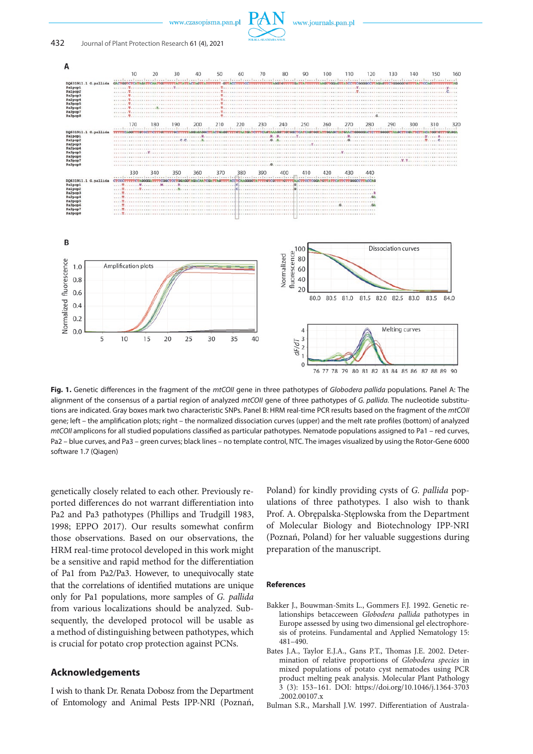

**Fig. 1.** Genetic differences in the fragment of the *mtCOII* gene in three pathotypes of *Globodera pallida* populations. Panel A: The alignment of the consensus of a partial region of analyzed *mtCOII* gene of three pathotypes of *G. pallida*. The nucleotide substitutions are indicated. Gray boxes mark two characteristic SNPs. Panel B: HRM real-time PCR results based on the fragment of the *mtCOII*  gene; left – the amplification plots; right – the normalized dissociation curves (upper) and the melt rate profiles (bottom) of analyzed *mtCOII* amplicons for all studied populations classified as particular pathotypes. Nematode populations assigned to Pa1 – red curves, Pa2 – blue curves, and Pa3 – green curves; black lines – no template control, NTC. The images visualized by using the Rotor-Gene 6000 software 1.7 (Qiagen)

genetically closely related to each other. Previously reported differences do not warrant differentiation into Pa2 and Pa3 pathotypes (Phillips and Trudgill 1983, 1998; EPPO 2017). Our results somewhat confirm those observations. Based on our observations, the HRM real-time protocol developed in this work might be a sensitive and rapid method for the differentiation of Pa1 from Pa2/Pa3. However, to unequivocally state that the correlations of identified mutations are unique only for Pa1 populations, more samples of *G. pallida* from various localizations should be analyzed. Subsequently, the developed protocol will be usable as a method of distinguishing between pathotypes, which is crucial for potato crop protection against PCNs.

# **Acknowledgements**

I wish to thank Dr. Renata Dobosz from the Department of Entomology and Animal Pests IPP-NRI (Poznań,

Poland) for kindly providing cysts of *G. pallida* populations of three pathotypes. I also wish to thank Prof. A. Obrępalska-Stęplowska from the Department of Molecular Biology and Biotechnology IPP-NRI (Poznań, Poland) for her valuable suggestions during preparation of the manuscript.

## **References**

- Bakker J., Bouwman-Smits L., Gommers F.J. 1992. Genetic relationships betacceween *Globodera pallida* pathotypes in Europe assessed by using two dimensional gel electrophoresis of proteins. Fundamental and Applied Nematology 15: 481–490.
- Bates J.A., Taylor E.J.A., Gans P.T., Thomas J.E. 2002. Determination of relative proportions of *Globodera species* in mixed populations of potato cyst nematodes using PCR product melting peak analysis. Molecular Plant Pathology 3 (3): 153–161. DOI: https://doi.org/10.1046/j.1364-3703 .2002.00107.x

Bulman S.R., Marshall J.W. 1997. Differentiation of Australa-